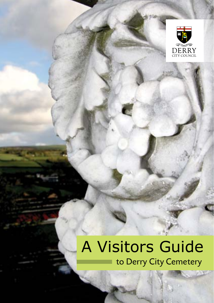

6X

# to Derry City Cemetery A Visitors Guide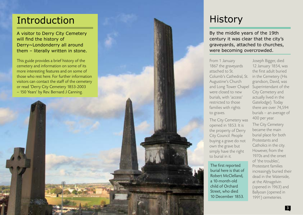# Introduction

A visitor to Derry City Cemetery will find the history of Derry~Londonderry all around them – literally written in stone.

This guide provides a brief history of the cemetery and information on some of its more interesting features and on some of those who rest here. For further information visitors can contact the staff of the cemetery or read 'Derry City Cemetery 1853-2003 – 150 Years' by Rev. Bernard J Canning.

ı



# **History**

By the middle years of the 19th century it was clear that the city's graveyards, attached to churches, were becoming overcrowded.

From 1 January 1867 the graveyards attached to St. Columb's Cathedral, St. Augustine's Church and Long Tower Chapel were closed to new burials, with 'access' restricted to those families with rights to graves.

The City Cemetery was opened in 1853. It is the property of Derry City Council. People buying a grave do not own the grave but simply have the right to burial in it.

The first reported burial here is that of Robert McClelland, a 10-month-old child of Orchard Street, who died 10 December 1853.

Joseph Bigger, died 12 January 1854, was the first adult buried in the Cemetery (His grandson, David, was Superintendant of the City Cemetery and actually lived in the Gatelodge). Today there are over 74,594 burials – an average of 400 per year.

The City Cemetery became the main burial place for both Protestants and Catholics in the city. However, from the 1970s and the onset of 'the troubles', Protestant families increasingly buried their dead in the Waterside, at the Altnagelvin (opened in 1963) and Ballyoan (opened in 1991) cemeteries.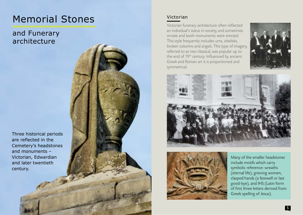# Memorial Stones Victorian

and Funerary architecture

Three historical periods are reflected in the Cemetery's headstones and monuments – Victorian, Edwardian and later twentieth century.

Victorian funerary architecture often reflected an individual's status in society, and sometimes ornate and lavish monuments were erected. This style frequently includes urns, obelisks, broken columns and angels. This type of imagery, referred to as neo-classical, was popular up to the end of 19<sup>th</sup> century. Influenced by ancient Greek and Roman art it is proportioned and symmetrical.







Many of the smaller headstones include motifs which carry symbolic reference: wreaths (eternal life), grieving women, clasped hands (a farewell or last good-bye), and IHS (Latin form of first three letters derived from Greek spelling of Jesus).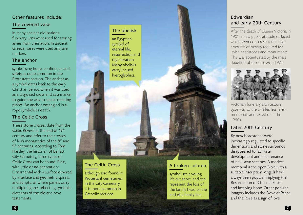### Other features include:

#### The covered vase

in many ancient civilisations funerary urns were used for storing ashes from cremation. In ancient Greece, vases were used as grave markers.

### The anchor

symbolising hope, confidence and safety, is quite common in the Protestant section. The anchor as a symbol dates back to the early Christian period when it was used as a disguised cross and as a marker to guide the way to secret meeting places. An anchor entangled in a rope symbolises death.

#### The Celtic Cross

These stone crosses date from the Celtic Revival at the end of 19th century and refer to the crosses of Irish monasteries of the  $8<sup>th</sup>$  and  $9<sup>th</sup>$  centuries. According to Tom Hartley, the historian of Belfast City Cemetery, three types of Celtic Cross can be found: Plain, with little or no decoration; Ornamental with a surface covered by interlace and geometric spirals; and Scriptural, where panels carry multiple figures reflecting symbolic elements of the old and new testaments.

#### The obelisk

an Egyptian symbol of eternal life, resurrection and regeneration. Many obelisks carry incised hieroglyphics.

The Celtic Cross

although also found in Protestant cemeteries, in the City Cemetery it is more common in Catholic sections.

### A broken column

symbolises a young life cut short, and can represent the loss of the family head or the end of a family line.

### Edwardian and early 20th Century

After the death of Queen Victoria in 1901, a new public attitude surfaced which seemed to resent the large amounts of money required for lavish headstones and monuments. This was accentuated by the mass slaughter of the First World War.



Victorian funerary architecture gave way to the smaller, less lavish memorials and lasted until the 1950s.

### Later 20th Century

By now headstones were increasingly regulated to specific dimensions and stone surrounds disappeared to facilitate development and maintenance of new lawn sections. A modern memorial is the open Bible with a suitable inscription. Angels have always been popular implying the Resurrection of Christ at Easter and implying hope. Other popular imagery includes the Dove of Peace and the Rose as a sign of love.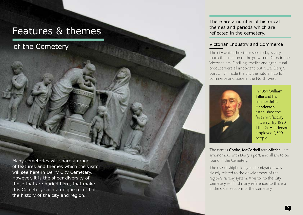## Features & themes

of the Cemetery

Many cemeteries will share a range of features and themes which the visitor will see here in Derry City Cemetery. However, it is the sheer diversity of those that are buried here, that make this Cemetery such a unique record of the history of the city and region.

There are a number of historical themes and periods which are reflected in the cemetery.

#### Victorian Industry and Commerce

The city which the visitor sees today is very much the creation of the growth of Derry in the Victorian era. Distilling, textiles and agricultural produce were all important, but it was Derry's port which made the city the natural hub for commerce and trade in the North West.



In 1851 William Tillie and his partner John Henderson established the first shirt factory in Derry. By 1890 Tillie & Henderson employed 1,500 people.

The names Cooke, McCorkell and Mitchell are synonomous with Derry's port, and all are to be found in the Cemetery.

The rise of shipbuilding and emigration was closely related to the development of the region's railway system. A visitor to the City Cemetery will find many references to this era in the older sections of the Cemetery.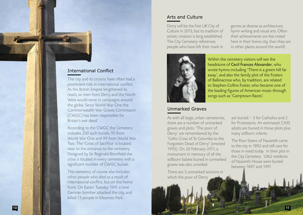

#### International Conflict

The city and its citizens have often had a prominent role in international conflict. As the British Empire lengthened its reach, so men from Derry and the North West would serve in campaigns around the globe. Since World War One the Commonwealth War Graves Commission (CWGC) has been responsible for Britain's war dead.

According to the CWGC the Cemetery includes 200 such burials, 95 from World War One and 99 from World War Two. The 'Cross of Sacrifice' is located near to the entrance to the cemetery. Designed by Sir Reginald Blomfield the cross is located in every cemetery with a significant number of CWGC burials.

This cemetery of course also includes other people who died as a result of international conflict, but on the home front. On Easter Tuesday 1941 a lone German bomber attacked the city, and killed 13 people in Messines Park.

### Arts and Culture

Derry will be the first UK City of Culture in 2013, but its tradition of artistic creation is long established. The City Cemetery references people who have left their mark in

genres as diverse as architecture, hymn writing and visual arts. Often their achievements are less noted here in their home city, than they are in other places around the world!



Within the cemetery visitors will see the headstone of Cecil Frances Alexander, who wrote hymns including 'There is a green hill far away', and also the family plot of the Fosters of Ballinacross who, by tradition, are related to Stephen Collins Foster, who became one of the leading figures of American music through songs such as 'Camptown Races'.

#### Unmarked Graves

As with all large, urban cemeteries, there are a number of unmarked graves and plots. 'The poor of Derry' are remembered by the 'Celtic Cross of St Columba to the Forgotten Dead of Derry' (erected 1993). On 20 February 2011, a monument in memory of all the stillborn babies buried in unmarked graves was also unveiled.

There are 5 unmarked sections in which the poor of Derry

are buried – 3 for Catholics and 2 for Protestants. An estimated 7,500 adults are buried in those plots plus many stillborn infants.

The Poor Sisters of Nazareth came to the city in 1892 and still care for those in need today. In their plot in the City Cemetery 1,062 residents of Nazareth House were buried between 1897 and 1991.

11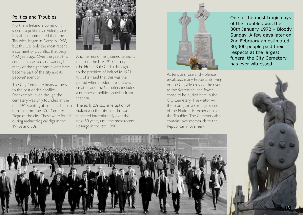### Politics and Troubles

Northern Ireland is commonly seen as a politically divided place. It is often commented that 'the Troubles' began in Derry in 1968, but this was only the most recent instalment of a conflict that began 400 years ago. Over the years this conflict has waxed and waned, but many of the significant events have become part of the city and its peoples' identity.

The City Cemetery bears witness to the cost of this conflict. For example, even though the cemetery was only founded in the mid-19th Century, it contains human remains from the 17th Century Siege of the city. These were found during archaeological digs in the 1970s and 80s.



Another era of heightened tensions ran from the late 19<sup>th</sup> Century (the Home Rule Crisis) through to the partition of Ireland in 1921. It is often said that this was the period when modern Ireland was created, and the Cemetery includes a number of political activists from that era.

The early 20s saw an eruption of violence in the city, and this was repeated intermittently over the next 50 years, until the most recent upsurge in the late 1960s.



As tensions rose and violence escalated, many Protestants living on the Cityside crossed the river to the Waterside, and fewer chose to be buried here in the City Cemetery. The visitor will therefore gain a stronger sense of the Nationalist experience of the Troubles. The Cemetery also contains two memorials to the Republican movement.

One of the most tragic days of the Troubles was the 30th January 1972 – Bloody Sunday. A few days later on 2nd February an estimated 30,000 people paid their respects at the largest funeral the City Cemetery has ever witnessed.



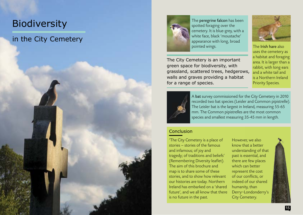# **Biodiversity**

14

### in the City Cemetery



The peregrine falcon has been spotted foraging over the cemetery. It is blue-grey, with a white face, black 'moustache' appearance with long, broad pointed wings. The Irish hare also

The City Cemetery is an important green space for biodiversity, with grassland, scattered trees, hedgerows, walls and graves providing a habitat for a range of species.



uses the cemetery as a habitat and foraging area. It is larger than a rabbit, with long ears and a white tail and is a Northern Ireland Priority Species.



A bat survey commissioned for the City Cemetery in 2010 recorded two bat species (Leisler and Common pipistrelle). The Leisler bat is the largest in Ireland, measuring 55-65 mm. The Common pipistrelles are the most common species and smallest measuring 35-45 mm in length.

#### Conclusion

'The City Cemetery is a place of stories – stories of the famous and infamous; of joy and tragedy; of traditions and beliefs' (Remembering Diversity leaflet). The aim of this brochure and map is to share some of these stories, and to show how relevant our histories are today. Northern Ireland has embarked on a 'shared future', and we all know that there is no future in the past.

However, we also know that a better understanding of that past is essential, and there are few places which can better represent the cost of our conflicts, or indeed of our shared humanity, than Derry~Londonderry's City Cemetery.